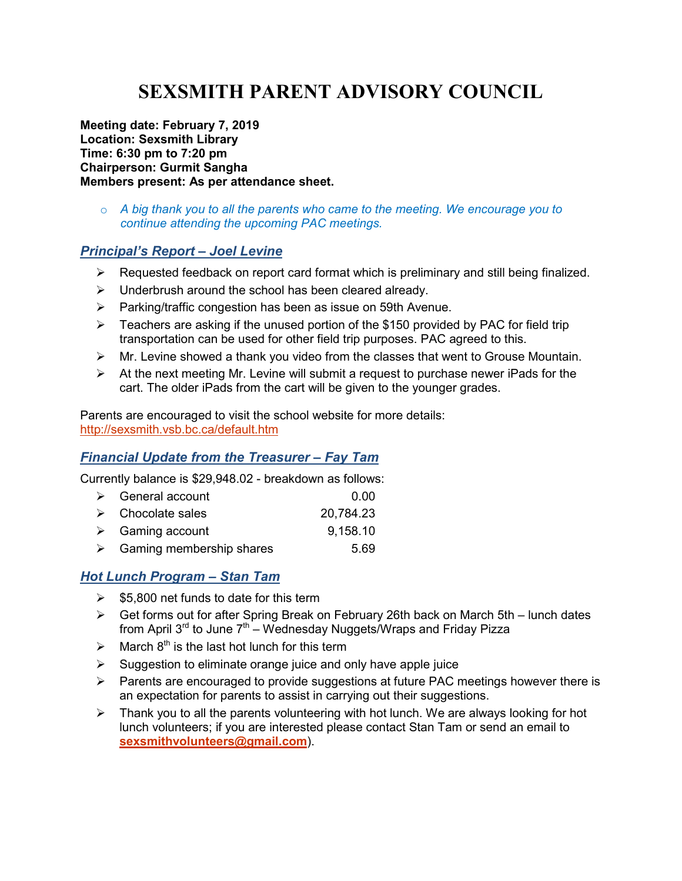# **SEXSMITH PARENT ADVISORY COUNCIL**

**Meeting date: February 7, 2019 Location: Sexsmith Library Time: 6:30 pm to 7:20 pm Chairperson: Gurmit Sangha Members present: As per attendance sheet.** 

o *A big thank you to all the parents who came to the meeting. We encourage you to continue attending the upcoming PAC meetings.* 

## *Principal's Report – Joel Levine*

- $\triangleright$  Requested feedback on report card format which is preliminary and still being finalized.
- $\triangleright$  Underbrush around the school has been cleared already.
- $\triangleright$  Parking/traffic congestion has been as issue on 59th Avenue.
- $\triangleright$  Teachers are asking if the unused portion of the \$150 provided by PAC for field trip transportation can be used for other field trip purposes. PAC agreed to this.
- $\triangleright$  Mr. Levine showed a thank you video from the classes that went to Grouse Mountain.
- $\triangleright$  At the next meeting Mr. Levine will submit a request to purchase newer iPads for the cart. The older iPads from the cart will be given to the younger grades.

Parents are encouraged to visit the school website for more details: http://sexsmith.vsb.bc.ca/default.htm

## *Financial Update from the Treasurer – Fay Tam*

Currently balance is \$29,948.02 - breakdown as follows:

| $\triangleright$ General account          | 0.00      |
|-------------------------------------------|-----------|
| $\triangleright$ Chocolate sales          | 20,784.23 |
| $\triangleright$ Gaming account           | 9,158.10  |
| $\triangleright$ Gaming membership shares | 5.69      |

#### *Hot Lunch Program – Stan Tam*

- $\geq$  \$5,800 net funds to date for this term
- $\triangleright$  Get forms out for after Spring Break on February 26th back on March 5th lunch dates from April  $3^{rd}$  to June  $7^{th}$  – Wednesday Nuggets/Wraps and Friday Pizza
- $\triangleright$  March 8<sup>th</sup> is the last hot lunch for this term
- $\triangleright$  Suggestion to eliminate orange juice and only have apple juice
- $\triangleright$  Parents are encouraged to provide suggestions at future PAC meetings however there is an expectation for parents to assist in carrying out their suggestions.
- $\triangleright$  Thank you to all the parents volunteering with hot lunch. We are always looking for hot lunch volunteers; if you are interested please contact Stan Tam or send an email to **sexsmithvolunteers@gmail.com**).